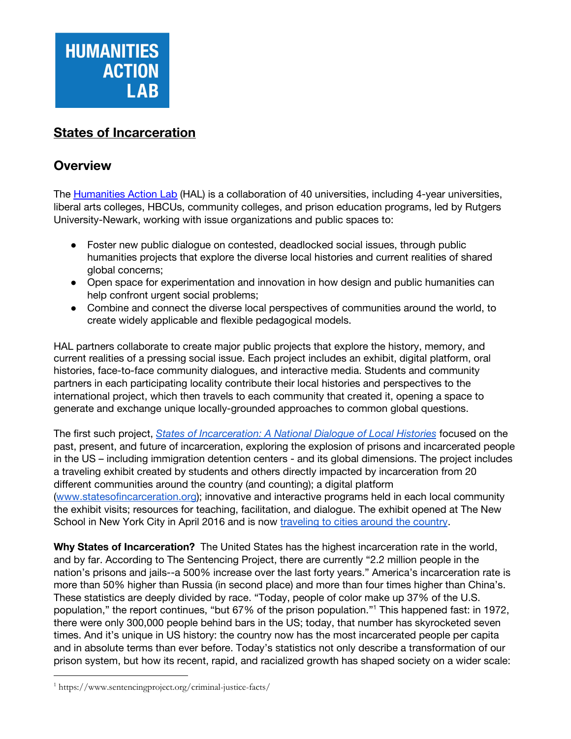

# **States of Incarceration**

## **Overview**

The [Humanities](http://www.humanitiesactionlab.org/) Action Lab (HAL) is a collaboration of 40 universities, including 4-year universities, liberal arts colleges, HBCUs, community colleges, and prison education programs, led by Rutgers University-Newark, working with issue organizations and public spaces to:

- **●** Foster new public dialogue on contested, deadlocked social issues, through public humanities projects that explore the diverse local histories and current realities of shared global concerns;
- **●** Open space for experimentation and innovation in how design and public humanities can help confront urgent social problems;
- **●** Combine and connect the diverse local perspectives of communities around the world, to create widely applicable and flexible pedagogical models.

HAL partners collaborate to create major public projects that explore the history, memory, and current realities of a pressing social issue. Each project includes an exhibit, digital platform, oral histories, face-to-face community dialogues, and interactive media. Students and community partners in each participating locality contribute their local histories and perspectives to the international project, which then travels to each community that created it, opening a space to generate and exchange unique locally-grounded approaches to common global questions.

The first such project, *States of [Incarceration:](http://statesofincarceration.org/) A National Dialogue of Local Histories* focused on the past, present, and future of incarceration, exploring the explosion of prisons and incarcerated people in the US – including immigration detention centers - and its global dimensions. The project includes a traveling exhibit created by students and others directly impacted by incarceration from 20 different communities around the country (and counting); a digital platform ([www.statesofincarceration.org\)](http://www.statesofincarceration.org/); innovative and interactive programs held in each local community the exhibit visits; resources for teaching, facilitation, and dialogue. The exhibit opened at The New School in New York City in April 2016 and is now [traveling](http://statesofincarceration.org/exhibition-and-events) to cities around the country.

**Why States of Incarceration?** The United States has the highest incarceration rate in the world, and by far. According to The Sentencing Project, there are currently "2.2 million people in the nation's prisons and jails--a 500% increase over the last forty years." America's incarceration rate is more than 50% higher than Russia (in second place) and more than four times higher than China's. These statistics are deeply divided by race. "Today, people of color make up 37% of the U.S. population," the report continues, "but 67% of the prison population."<sup>1</sup> This happened fast: in 1972, there were only 300,000 people behind bars in the US; today, that number has skyrocketed seven times. And it's unique in US history: the country now has the most incarcerated people per capita and in absolute terms than ever before. Today's statistics not only describe a transformation of our prison system, but how its recent, rapid, and racialized growth has shaped society on a wider scale:

<sup>1</sup> https://www.sentencingproject.org/criminal-justice-facts/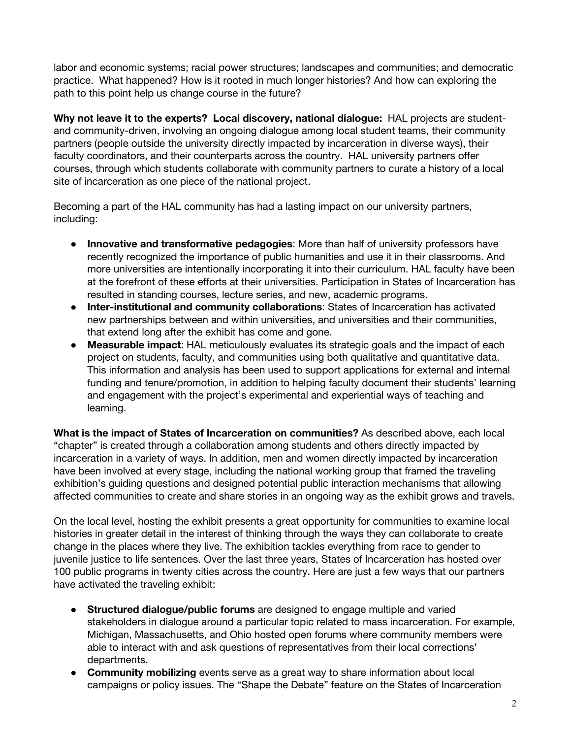labor and economic systems; racial power structures; landscapes and communities; and democratic practice. What happened? How is it rooted in much longer histories? And how can exploring the path to this point help us change course in the future?

**Why not leave it to the experts? Local discovery, national dialogue:** HAL projects are studentand community-driven, involving an ongoing dialogue among local student teams, their community partners (people outside the university directly impacted by incarceration in diverse ways), their faculty coordinators, and their counterparts across the country. HAL university partners offer courses, through which students collaborate with community partners to curate a history of a local site of incarceration as one piece of the national project.

Becoming a part of the HAL community has had a lasting impact on our university partners, including:

- **● Innovative and transformative pedagogies**: More than half of university professors have recently recognized the importance of public humanities and use it in their classrooms. And more universities are intentionally incorporating it into their curriculum. HAL faculty have been at the forefront of these efforts at their universities. Participation in States of Incarceration has resulted in standing courses, lecture series, and new, academic programs.
- **● Inter-institutional and community collaborations**: States of Incarceration has activated new partnerships between and within universities, and universities and their communities, that extend long after the exhibit has come and gone.
- **● Measurable impact**: HAL meticulously evaluates its strategic goals and the impact of each project on students, faculty, and communities using both qualitative and quantitative data. This information and analysis has been used to support applications for external and internal funding and tenure/promotion, in addition to helping faculty document their students' learning and engagement with the project's experimental and experiential ways of teaching and learning.

**What is the impact of States of Incarceration on communities?** As described above, each local "chapter" is created through a collaboration among students and others directly impacted by incarceration in a variety of ways. In addition, men and women directly impacted by incarceration have been involved at every stage, including the national working group that framed the traveling exhibition's guiding questions and designed potential public interaction mechanisms that allowing affected communities to create and share stories in an ongoing way as the exhibit grows and travels.

On the local level, hosting the exhibit presents a great opportunity for communities to examine local histories in greater detail in the interest of thinking through the ways they can collaborate to create change in the places where they live. The exhibition tackles everything from race to gender to juvenile justice to life sentences. Over the last three years, States of Incarceration has hosted over 100 public programs in twenty cities across the country. Here are just a few ways that our partners have activated the traveling exhibit:

- **● Structured dialogue/public forums** are designed to engage multiple and varied stakeholders in dialogue around a particular topic related to mass incarceration. For example, Michigan, Massachusetts, and Ohio hosted open forums where community members were able to interact with and ask questions of representatives from their local corrections' departments.
- **● Community mobilizing** events serve as a great way to share information about local campaigns or policy issues. The "Shape the Debate" feature on the States of Incarceration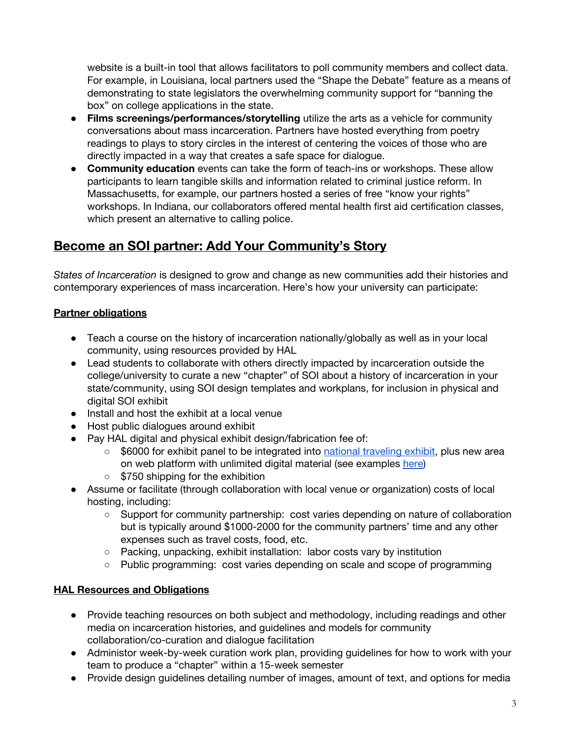website is a built-in tool that allows facilitators to poll community members and collect data. For example, in Louisiana, local partners used the "Shape the Debate" feature as a means of demonstrating to state legislators the overwhelming community support for "banning the box" on college applications in the state.

- **● Films screenings/performances/storytelling** utilize the arts as a vehicle for community conversations about mass incarceration. Partners have hosted everything from poetry readings to plays to story circles in the interest of centering the voices of those who are directly impacted in a way that creates a safe space for dialogue.
- **● Community education** events can take the form of teach-ins or workshops. These allow participants to learn tangible skills and information related to criminal justice reform. In Massachusetts, for example, our partners hosted a series of free "know your rights" workshops. In Indiana, our collaborators offered mental health first aid certification classes, which present an alternative to calling police.

# **Become an SOI partner: Add Your Community's Story**

*States of Incarceration* is designed to grow and change as new communities add their histories and contemporary experiences of mass incarceration. Here's how your university can participate:

## **Partner obligations**

- Teach a course on the history of incarceration nationally/globally as well as in your local community, using resources provided by HAL
- Lead students to collaborate with others directly impacted by incarceration outside the college/university to curate a new "chapter" of SOI about a history of incarceration in your state/community, using SOI design templates and workplans, for inclusion in physical and digital SOI exhibit
- Install and host the exhibit at a local venue
- Host public dialogues around exhibit
- Pay HAL digital and physical exhibit design/fabrication fee of:
	- \$6000 for exhibit panel to be integrated into national [traveling](https://drive.google.com/file/d/0B_VTAaeg1WMiZk5PMHhxamVRRnQtSUpGRmdrLTI2UlV2Y2E0/view?usp=sharing) exhibit, plus new area on web platform with unlimited digital material (see examples [here\)](http://statesofincarceration.org/state-by-state)
	- \$750 shipping for the exhibition
- Assume or facilitate (through collaboration with local venue or organization) costs of local hosting, including:
	- Support for community partnership: cost varies depending on nature of collaboration but is typically around \$1000-2000 for the community partners' time and any other expenses such as travel costs, food, etc.
	- Packing, unpacking, exhibit installation: labor costs vary by institution
	- Public programming: cost varies depending on scale and scope of programming

### **HAL Resources and Obligations**

- Provide teaching resources on both subject and methodology, including readings and other media on incarceration histories, and guidelines and models for community collaboration/co-curation and dialogue facilitation
- Administor week-by-week curation work plan, providing guidelines for how to work with your team to produce a "chapter" within a 15-week semester
- Provide design guidelines detailing number of images, amount of text, and options for media